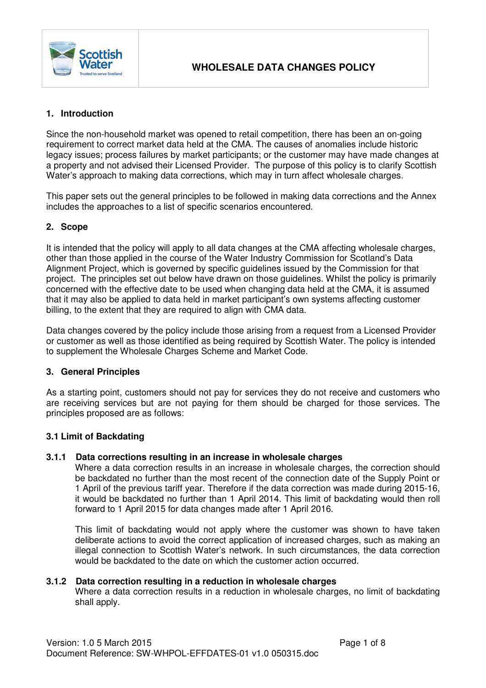

## **1. Introduction**

Since the non-household market was opened to retail competition, there has been an on-going requirement to correct market data held at the CMA. The causes of anomalies include historic legacy issues; process failures by market participants; or the customer may have made changes at a property and not advised their Licensed Provider. The purpose of this policy is to clarify Scottish Water's approach to making data corrections, which may in turn affect wholesale charges.

This paper sets out the general principles to be followed in making data corrections and the Annex includes the approaches to a list of specific scenarios encountered.

## **2. Scope**

It is intended that the policy will apply to all data changes at the CMA affecting wholesale charges, other than those applied in the course of the Water Industry Commission for Scotland's Data Alignment Project, which is governed by specific guidelines issued by the Commission for that project. The principles set out below have drawn on those guidelines. Whilst the policy is primarily concerned with the effective date to be used when changing data held at the CMA, it is assumed that it may also be applied to data held in market participant's own systems affecting customer billing, to the extent that they are required to align with CMA data.

Data changes covered by the policy include those arising from a request from a Licensed Provider or customer as well as those identified as being required by Scottish Water. The policy is intended to supplement the Wholesale Charges Scheme and Market Code.

#### **3. General Principles**

As a starting point, customers should not pay for services they do not receive and customers who are receiving services but are not paying for them should be charged for those services. The principles proposed are as follows:

#### **3.1 Limit of Backdating**

#### **3.1.1 Data corrections resulting in an increase in wholesale charges**

Where a data correction results in an increase in wholesale charges, the correction should be backdated no further than the most recent of the connection date of the Supply Point or 1 April of the previous tariff year. Therefore if the data correction was made during 2015-16, it would be backdated no further than 1 April 2014. This limit of backdating would then roll forward to 1 April 2015 for data changes made after 1 April 2016.

This limit of backdating would not apply where the customer was shown to have taken deliberate actions to avoid the correct application of increased charges, such as making an illegal connection to Scottish Water's network. In such circumstances, the data correction would be backdated to the date on which the customer action occurred.

#### **3.1.2 Data correction resulting in a reduction in wholesale charges**

Where a data correction results in a reduction in wholesale charges, no limit of backdating shall apply.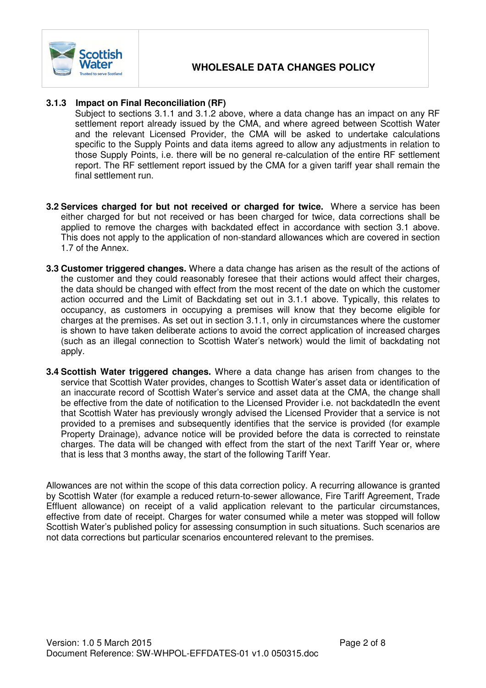

### **3.1.3 Impact on Final Reconciliation (RF)**

Subject to sections 3.1.1 and 3.1.2 above, where a data change has an impact on any RF settlement report already issued by the CMA, and where agreed between Scottish Water and the relevant Licensed Provider, the CMA will be asked to undertake calculations specific to the Supply Points and data items agreed to allow any adjustments in relation to those Supply Points, i.e. there will be no general re-calculation of the entire RF settlement report. The RF settlement report issued by the CMA for a given tariff year shall remain the final settlement run.

- **3.2 Services charged for but not received or charged for twice.** Where a service has been either charged for but not received or has been charged for twice, data corrections shall be applied to remove the charges with backdated effect in accordance with section 3.1 above. This does not apply to the application of non-standard allowances which are covered in section 1.7 of the Annex.
- **3.3 Customer triggered changes.** Where a data change has arisen as the result of the actions of the customer and they could reasonably foresee that their actions would affect their charges, the data should be changed with effect from the most recent of the date on which the customer action occurred and the Limit of Backdating set out in 3.1.1 above. Typically, this relates to occupancy, as customers in occupying a premises will know that they become eligible for charges at the premises. As set out in section 3.1.1, only in circumstances where the customer is shown to have taken deliberate actions to avoid the correct application of increased charges (such as an illegal connection to Scottish Water's network) would the limit of backdating not apply.
- **3.4 Scottish Water triggered changes.** Where a data change has arisen from changes to the service that Scottish Water provides, changes to Scottish Water's asset data or identification of an inaccurate record of Scottish Water's service and asset data at the CMA, the change shall be effective from the date of notification to the Licensed Provider i.e. not backdatedIn the event that Scottish Water has previously wrongly advised the Licensed Provider that a service is not provided to a premises and subsequently identifies that the service is provided (for example Property Drainage), advance notice will be provided before the data is corrected to reinstate charges. The data will be changed with effect from the start of the next Tariff Year or, where that is less that 3 months away, the start of the following Tariff Year.

Allowances are not within the scope of this data correction policy. A recurring allowance is granted by Scottish Water (for example a reduced return-to-sewer allowance, Fire Tariff Agreement, Trade Effluent allowance) on receipt of a valid application relevant to the particular circumstances, effective from date of receipt. Charges for water consumed while a meter was stopped will follow Scottish Water's published policy for assessing consumption in such situations. Such scenarios are not data corrections but particular scenarios encountered relevant to the premises.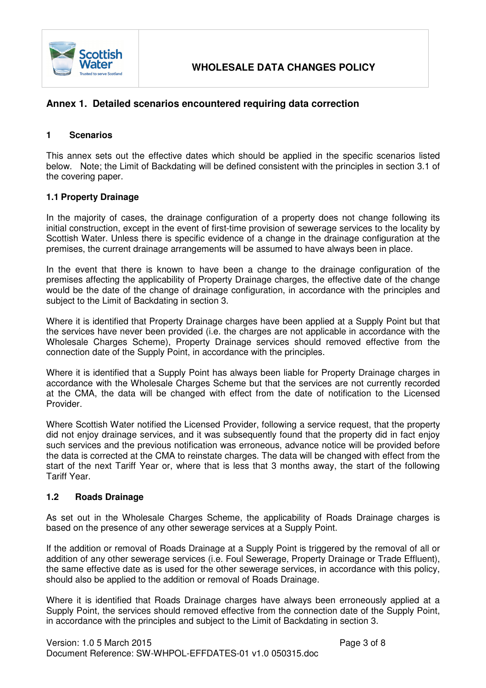

## **Annex 1. Detailed scenarios encountered requiring data correction**

## **1 Scenarios**

This annex sets out the effective dates which should be applied in the specific scenarios listed below. Note; the Limit of Backdating will be defined consistent with the principles in section 3.1 of the covering paper.

#### **1.1 Property Drainage**

In the majority of cases, the drainage configuration of a property does not change following its initial construction, except in the event of first-time provision of sewerage services to the locality by Scottish Water. Unless there is specific evidence of a change in the drainage configuration at the premises, the current drainage arrangements will be assumed to have always been in place.

In the event that there is known to have been a change to the drainage configuration of the premises affecting the applicability of Property Drainage charges, the effective date of the change would be the date of the change of drainage configuration, in accordance with the principles and subject to the Limit of Backdating in section 3.

Where it is identified that Property Drainage charges have been applied at a Supply Point but that the services have never been provided (i.e. the charges are not applicable in accordance with the Wholesale Charges Scheme), Property Drainage services should removed effective from the connection date of the Supply Point, in accordance with the principles.

Where it is identified that a Supply Point has always been liable for Property Drainage charges in accordance with the Wholesale Charges Scheme but that the services are not currently recorded at the CMA, the data will be changed with effect from the date of notification to the Licensed Provider.

Where Scottish Water notified the Licensed Provider, following a service request, that the property did not enjoy drainage services, and it was subsequently found that the property did in fact enjoy such services and the previous notification was erroneous, advance notice will be provided before the data is corrected at the CMA to reinstate charges. The data will be changed with effect from the start of the next Tariff Year or, where that is less that 3 months away, the start of the following Tariff Year.

#### **1.2 Roads Drainage**

As set out in the Wholesale Charges Scheme, the applicability of Roads Drainage charges is based on the presence of any other sewerage services at a Supply Point.

If the addition or removal of Roads Drainage at a Supply Point is triggered by the removal of all or addition of any other sewerage services (i.e. Foul Sewerage, Property Drainage or Trade Effluent), the same effective date as is used for the other sewerage services, in accordance with this policy, should also be applied to the addition or removal of Roads Drainage.

Where it is identified that Roads Drainage charges have always been erroneously applied at a Supply Point, the services should removed effective from the connection date of the Supply Point, in accordance with the principles and subject to the Limit of Backdating in section 3.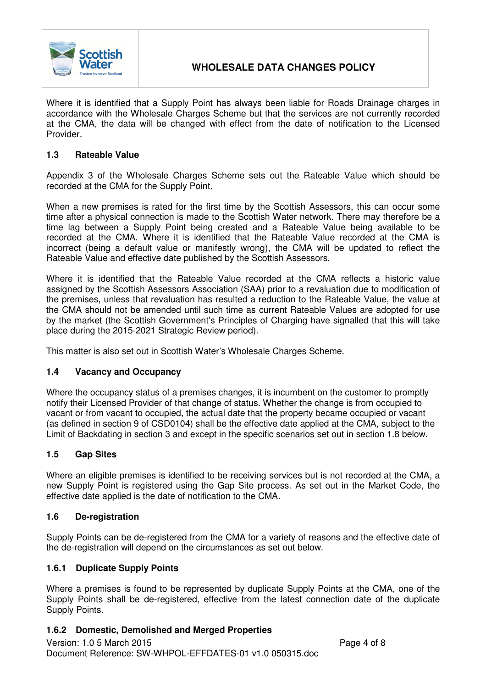

Where it is identified that a Supply Point has always been liable for Roads Drainage charges in accordance with the Wholesale Charges Scheme but that the services are not currently recorded at the CMA, the data will be changed with effect from the date of notification to the Licensed Provider.

## **1.3 Rateable Value**

Appendix 3 of the Wholesale Charges Scheme sets out the Rateable Value which should be recorded at the CMA for the Supply Point.

When a new premises is rated for the first time by the Scottish Assessors, this can occur some time after a physical connection is made to the Scottish Water network. There may therefore be a time lag between a Supply Point being created and a Rateable Value being available to be recorded at the CMA. Where it is identified that the Rateable Value recorded at the CMA is incorrect (being a default value or manifestly wrong), the CMA will be updated to reflect the Rateable Value and effective date published by the Scottish Assessors.

Where it is identified that the Rateable Value recorded at the CMA reflects a historic value assigned by the Scottish Assessors Association (SAA) prior to a revaluation due to modification of the premises, unless that revaluation has resulted a reduction to the Rateable Value, the value at the CMA should not be amended until such time as current Rateable Values are adopted for use by the market (the Scottish Government's Principles of Charging have signalled that this will take place during the 2015-2021 Strategic Review period).

This matter is also set out in Scottish Water's Wholesale Charges Scheme.

## **1.4 Vacancy and Occupancy**

Where the occupancy status of a premises changes, it is incumbent on the customer to promptly notify their Licensed Provider of that change of status. Whether the change is from occupied to vacant or from vacant to occupied, the actual date that the property became occupied or vacant (as defined in section 9 of CSD0104) shall be the effective date applied at the CMA, subject to the Limit of Backdating in section 3 and except in the specific scenarios set out in section 1.8 below.

## **1.5 Gap Sites**

Where an eligible premises is identified to be receiving services but is not recorded at the CMA, a new Supply Point is registered using the Gap Site process. As set out in the Market Code, the effective date applied is the date of notification to the CMA.

## **1.6 De-registration**

Supply Points can be de-registered from the CMA for a variety of reasons and the effective date of the de-registration will depend on the circumstances as set out below.

## **1.6.1 Duplicate Supply Points**

Where a premises is found to be represented by duplicate Supply Points at the CMA, one of the Supply Points shall be de-registered, effective from the latest connection date of the duplicate Supply Points.

## **1.6.2 Domestic, Demolished and Merged Properties**

Version: 1.0 5 March 2015 Page 4 of 8 Document Reference: SW-WHPOL-EFFDATES-01 v1.0 050315.doc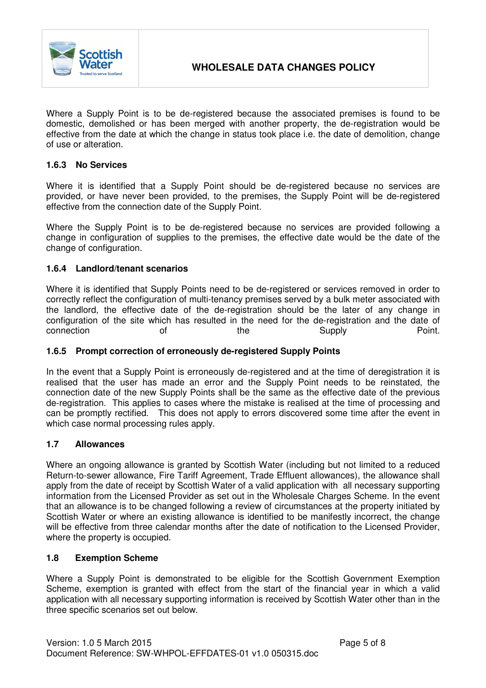

Where a Supply Point is to be de-registered because the associated premises is found to be domestic, demolished or has been merged with another property, the de-registration would be effective from the date at which the change in status took place i.e. the date of demolition, change of use or alteration.

### **1.6.3 No Services**

Where it is identified that a Supply Point should be de-registered because no services are provided, or have never been provided, to the premises, the Supply Point will be de-registered effective from the connection date of the Supply Point.

Where the Supply Point is to be de-registered because no services are provided following a change in configuration of supplies to the premises, the effective date would be the date of the change of configuration.

#### **1.6.4 Landlord/tenant scenarios**

Where it is identified that Supply Points need to be de-registered or services removed in order to correctly reflect the configuration of multi-tenancy premises served by a bulk meter associated with the landlord, the effective date of the de-registration should be the later of any change in configuration of the site which has resulted in the need for the de-registration and the date of connection of of the Supply Supply Point.

#### **1.6.5 Prompt correction of erroneously de-registered Supply Points**

In the event that a Supply Point is erroneously de-registered and at the time of deregistration it is realised that the user has made an error and the Supply Point needs to be reinstated, the connection date of the new Supply Points shall be the same as the effective date of the previous de-registration. This applies to cases where the mistake is realised at the time of processing and can be promptly rectified. This does not apply to errors discovered some time after the event in which case normal processing rules apply.

#### **1.7 Allowances**

Where an ongoing allowance is granted by Scottish Water (including but not limited to a reduced Return-to-sewer allowance, Fire Tariff Agreement, Trade Effluent allowances), the allowance shall apply from the date of receipt by Scottish Water of a valid application with all necessary supporting information from the Licensed Provider as set out in the Wholesale Charges Scheme. In the event that an allowance is to be changed following a review of circumstances at the property initiated by Scottish Water or where an existing allowance is identified to be manifestly incorrect, the change will be effective from three calendar months after the date of notification to the Licensed Provider, where the property is occupied.

#### **1.8 Exemption Scheme**

Where a Supply Point is demonstrated to be eligible for the Scottish Government Exemption Scheme, exemption is granted with effect from the start of the financial year in which a valid application with all necessary supporting information is received by Scottish Water other than in the three specific scenarios set out below.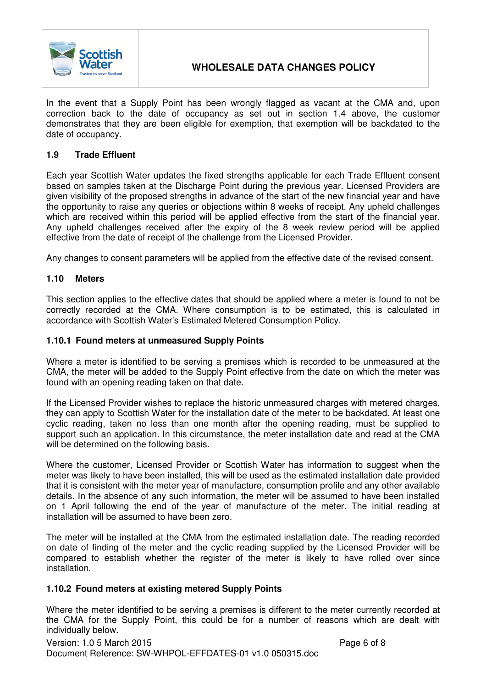

# **WHOLESALE DATA CHANGES POLICY**

In the event that a Supply Point has been wrongly flagged as vacant at the CMA and, upon correction back to the date of occupancy as set out in section 1.4 above, the customer demonstrates that they are been eligible for exemption, that exemption will be backdated to the date of occupancy.

### **1.9 Trade Effluent**

Each year Scottish Water updates the fixed strengths applicable for each Trade Effluent consent based on samples taken at the Discharge Point during the previous year. Licensed Providers are given visibility of the proposed strengths in advance of the start of the new financial year and have the opportunity to raise any queries or objections within 8 weeks of receipt. Any upheld challenges which are received within this period will be applied effective from the start of the financial year. Any upheld challenges received after the expiry of the 8 week review period will be applied effective from the date of receipt of the challenge from the Licensed Provider.

Any changes to consent parameters will be applied from the effective date of the revised consent.

#### **1.10 Meters**

This section applies to the effective dates that should be applied where a meter is found to not be correctly recorded at the CMA. Where consumption is to be estimated, this is calculated in accordance with Scottish Water's Estimated Metered Consumption Policy.

#### **1.10.1 Found meters at unmeasured Supply Points**

Where a meter is identified to be serving a premises which is recorded to be unmeasured at the CMA, the meter will be added to the Supply Point effective from the date on which the meter was found with an opening reading taken on that date.

If the Licensed Provider wishes to replace the historic unmeasured charges with metered charges, they can apply to Scottish Water for the installation date of the meter to be backdated. At least one cyclic reading, taken no less than one month after the opening reading, must be supplied to support such an application. In this circumstance, the meter installation date and read at the CMA will be determined on the following basis.

Where the customer, Licensed Provider or Scottish Water has information to suggest when the meter was likely to have been installed, this will be used as the estimated installation date provided that it is consistent with the meter year of manufacture, consumption profile and any other available details. In the absence of any such information, the meter will be assumed to have been installed on 1 April following the end of the year of manufacture of the meter. The initial reading at installation will be assumed to have been zero.

The meter will be installed at the CMA from the estimated installation date. The reading recorded on date of finding of the meter and the cyclic reading supplied by the Licensed Provider will be compared to establish whether the register of the meter is likely to have rolled over since installation.

#### **1.10.2 Found meters at existing metered Supply Points**

Where the meter identified to be serving a premises is different to the meter currently recorded at the CMA for the Supply Point, this could be for a number of reasons which are dealt with individually below.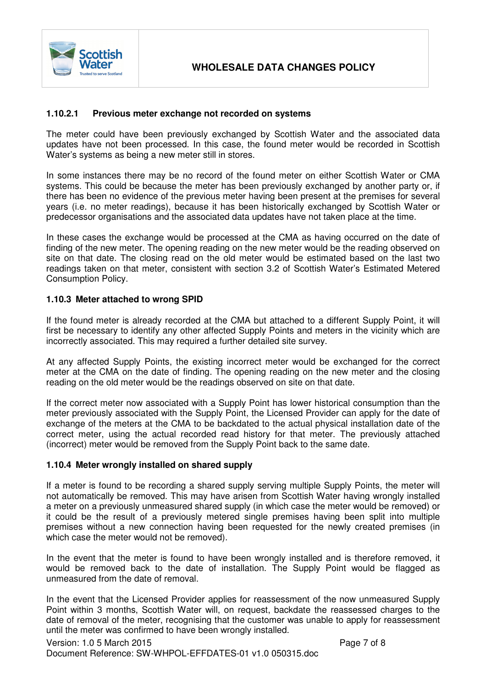

### **1.10.2.1 Previous meter exchange not recorded on systems**

The meter could have been previously exchanged by Scottish Water and the associated data updates have not been processed. In this case, the found meter would be recorded in Scottish Water's systems as being a new meter still in stores.

In some instances there may be no record of the found meter on either Scottish Water or CMA systems. This could be because the meter has been previously exchanged by another party or, if there has been no evidence of the previous meter having been present at the premises for several years (i.e. no meter readings), because it has been historically exchanged by Scottish Water or predecessor organisations and the associated data updates have not taken place at the time.

In these cases the exchange would be processed at the CMA as having occurred on the date of finding of the new meter. The opening reading on the new meter would be the reading observed on site on that date. The closing read on the old meter would be estimated based on the last two readings taken on that meter, consistent with section 3.2 of Scottish Water's Estimated Metered Consumption Policy.

#### **1.10.3 Meter attached to wrong SPID**

If the found meter is already recorded at the CMA but attached to a different Supply Point, it will first be necessary to identify any other affected Supply Points and meters in the vicinity which are incorrectly associated. This may required a further detailed site survey.

At any affected Supply Points, the existing incorrect meter would be exchanged for the correct meter at the CMA on the date of finding. The opening reading on the new meter and the closing reading on the old meter would be the readings observed on site on that date.

If the correct meter now associated with a Supply Point has lower historical consumption than the meter previously associated with the Supply Point, the Licensed Provider can apply for the date of exchange of the meters at the CMA to be backdated to the actual physical installation date of the correct meter, using the actual recorded read history for that meter. The previously attached (incorrect) meter would be removed from the Supply Point back to the same date.

#### **1.10.4 Meter wrongly installed on shared supply**

If a meter is found to be recording a shared supply serving multiple Supply Points, the meter will not automatically be removed. This may have arisen from Scottish Water having wrongly installed a meter on a previously unmeasured shared supply (in which case the meter would be removed) or it could be the result of a previously metered single premises having been split into multiple premises without a new connection having been requested for the newly created premises (in which case the meter would not be removed).

In the event that the meter is found to have been wrongly installed and is therefore removed, it would be removed back to the date of installation. The Supply Point would be flagged as unmeasured from the date of removal.

In the event that the Licensed Provider applies for reassessment of the now unmeasured Supply Point within 3 months, Scottish Water will, on request, backdate the reassessed charges to the date of removal of the meter, recognising that the customer was unable to apply for reassessment until the meter was confirmed to have been wrongly installed.

Version: 1.0 5 March 2015 Page 7 of 8 Document Reference: SW-WHPOL-EFFDATES-01 v1.0 050315.doc